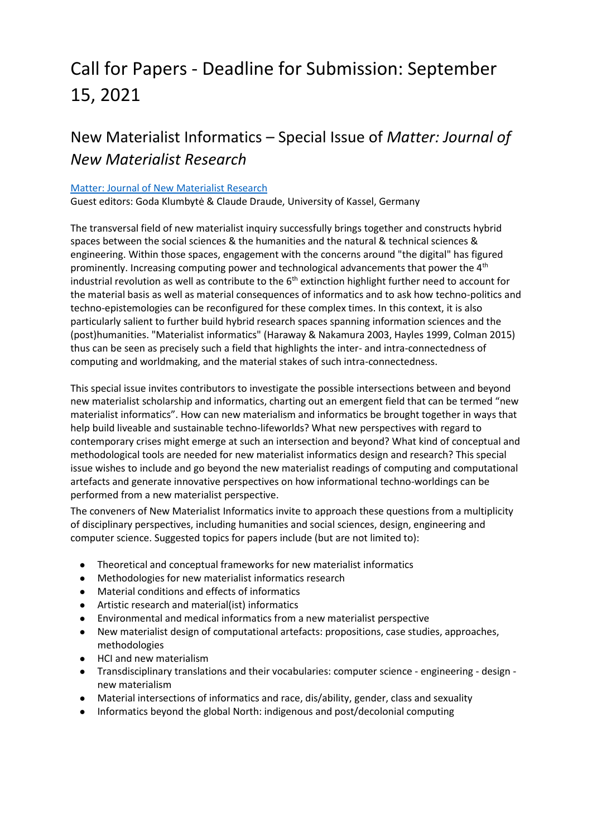# Call for Papers - Deadline for Submission: September 15, 2021

# New Materialist Informatics – Special Issue of *Matter: Journal of New Materialist Research*

#### [Matter: Journal of New Materialist Research](https://revistes.ub.edu/index.php/matter/index)

Guest editors: Goda Klumbytė & Claude Draude, University of Kassel, Germany

The transversal field of new materialist inquiry successfully brings together and constructs hybrid spaces between the social sciences & the humanities and the natural & technical sciences & engineering. Within those spaces, engagement with the concerns around "the digital" has figured prominently. Increasing computing power and technological advancements that power the  $4<sup>th</sup>$ industrial revolution as well as contribute to the  $6<sup>th</sup>$  extinction highlight further need to account for the material basis as well as material consequences of informatics and to ask how techno-politics and techno-epistemologies can be reconfigured for these complex times. In this context, it is also particularly salient to further build hybrid research spaces spanning information sciences and the (post)humanities. "Materialist informatics" (Haraway & Nakamura 2003, Hayles 1999, Colman 2015) thus can be seen as precisely such a field that highlights the inter- and intra-connectedness of computing and worldmaking, and the material stakes of such intra-connectedness.

This special issue invites contributors to investigate the possible intersections between and beyond new materialist scholarship and informatics, charting out an emergent field that can be termed "new materialist informatics". How can new materialism and informatics be brought together in ways that help build liveable and sustainable techno-lifeworlds? What new perspectives with regard to contemporary crises might emerge at such an intersection and beyond? What kind of conceptual and methodological tools are needed for new materialist informatics design and research? This special issue wishes to include and go beyond the new materialist readings of computing and computational artefacts and generate innovative perspectives on how informational techno-worldings can be performed from a new materialist perspective.

The conveners of New Materialist Informatics invite to approach these questions from a multiplicity of disciplinary perspectives, including humanities and social sciences, design, engineering and computer science. Suggested topics for papers include (but are not limited to):

- Theoretical and conceptual frameworks for new materialist informatics
- Methodologies for new materialist informatics research
- Material conditions and effects of informatics
- Artistic research and material(ist) informatics
- Environmental and medical informatics from a new materialist perspective
- New materialist design of computational artefacts: propositions, case studies, approaches, methodologies
- HCI and new materialism
- Transdisciplinary translations and their vocabularies: computer science engineering design new materialism
- Material intersections of informatics and race, dis/ability, gender, class and sexuality
- Informatics beyond the global North: indigenous and post/decolonial computing